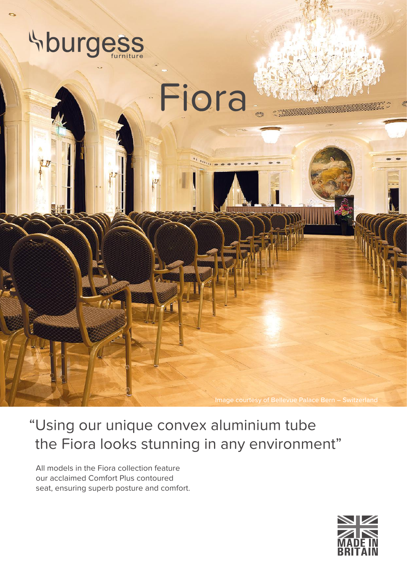

"Using our unique convex aluminium tube the Fiora looks stunning in any environment"

All models in the Fiora collection feature our acclaimed Comfort Plus contoured seat, ensuring superb posture and comfort.